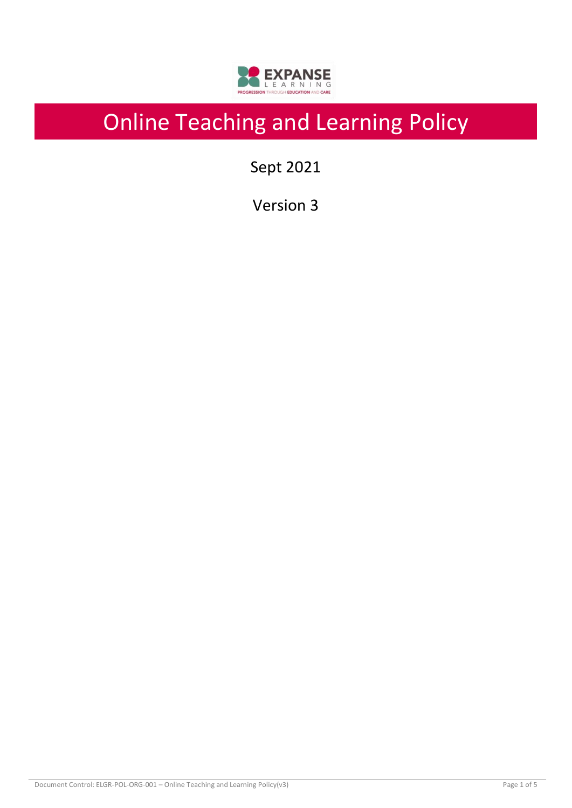

# Online Teaching and Learning Policy

Sept 2021

Version 3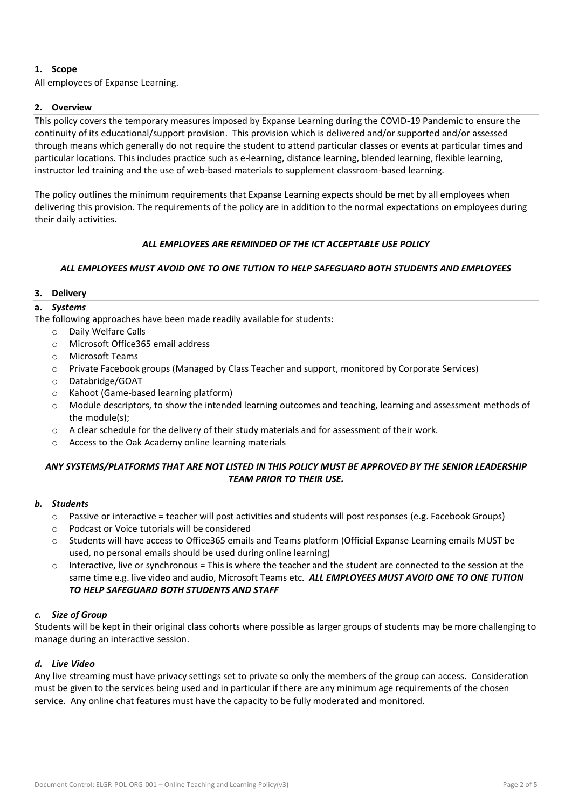# **1. Scope**

All employees of Expanse Learning.

### **2. Overview**

This policy covers the temporary measures imposed by Expanse Learning during the COVID-19 Pandemic to ensure the continuity of its educational/support provision. This provision which is delivered and/or supported and/or assessed through means which generally do not require the student to attend particular classes or events at particular times and particular locations. This includes practice such as e-learning, distance learning, blended learning, flexible learning, instructor led training and the use of web-based materials to supplement classroom-based learning.

The policy outlines the minimum requirements that Expanse Learning expects should be met by all employees when delivering this provision. The requirements of the policy are in addition to the normal expectations on employees during their daily activities.

#### *ALL EMPLOYEES ARE REMINDED OF THE ICT ACCEPTABLE USE POLICY*

# *ALL EMPLOYEES MUST AVOID ONE TO ONE TUTION TO HELP SAFEGUARD BOTH STUDENTS AND EMPLOYEES*

#### **3. Delivery**

# **a.** *Systems*

The following approaches have been made readily available for students:

- o Daily Welfare Calls
- o Microsoft Office365 email address
- o Microsoft Teams
- o Private Facebook groups (Managed by Class Teacher and support, monitored by Corporate Services)
- o Databridge/GOAT
- o Kahoot (Game-based learning platform)
- o Module descriptors, to show the intended learning outcomes and teaching, learning and assessment methods of the module(s);
- $\circ$  A clear schedule for the delivery of their study materials and for assessment of their work.
- o Access to the Oak Academy online learning materials

# *ANY SYSTEMS/PLATFORMS THAT ARE NOT LISTED IN THIS POLICY MUST BE APPROVED BY THE SENIOR LEADERSHIP TEAM PRIOR TO THEIR USE.*

#### *b. Students*

- $\circ$  Passive or interactive = teacher will post activities and students will post responses (e.g. Facebook Groups)
- o Podcast or Voice tutorials will be considered
- o Students will have access to Office365 emails and Teams platform (Official Expanse Learning emails MUST be used, no personal emails should be used during online learning)
- $\circ$  Interactive, live or synchronous = This is where the teacher and the student are connected to the session at the same time e.g. live video and audio, Microsoft Teams etc. *ALL EMPLOYEES MUST AVOID ONE TO ONE TUTION TO HELP SAFEGUARD BOTH STUDENTS AND STAFF*

#### *c. Size of Group*

Students will be kept in their original class cohorts where possible as larger groups of students may be more challenging to manage during an interactive session.

#### *d. Live Video*

Any live streaming must have privacy settings set to private so only the members of the group can access. Consideration must be given to the services being used and in particular if there are any minimum age requirements of the chosen service. Any online chat features must have the capacity to be fully moderated and monitored.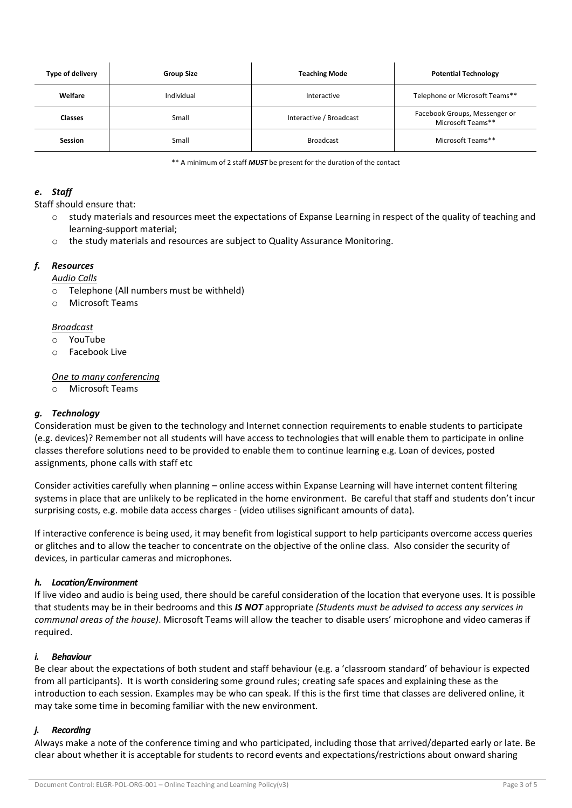| Type of delivery | <b>Group Size</b> | <b>Teaching Mode</b>    | <b>Potential Technology</b>                        |  |
|------------------|-------------------|-------------------------|----------------------------------------------------|--|
| Welfare          | Individual        | Interactive             | Telephone or Microsoft Teams**                     |  |
| <b>Classes</b>   | Small             | Interactive / Broadcast | Facebook Groups, Messenger or<br>Microsoft Teams** |  |
| <b>Session</b>   | Small             | <b>Broadcast</b>        | Microsoft Teams**                                  |  |

\*\* A minimum of 2 staff *MUST* be present for the duration of the contact

### *e. Staff*

Staff should ensure that:

- o study materials and resources meet the expectations of Expanse Learning in respect of the quality of teaching and learning-support material;
- o the study materials and resources are subject to Quality Assurance Monitoring.

# *f. Resources*

*Audio Calls*

- o Telephone (All numbers must be withheld)
- o Microsoft Teams

#### *Broadcast*

- o YouTube
- o Facebook Live

#### *One to many conferencing*

o Microsoft Teams

# *g. Technology*

Consideration must be given to the technology and Internet connection requirements to enable students to participate (e.g. devices)? Remember not all students will have access to technologies that will enable them to participate in online classes therefore solutions need to be provided to enable them to continue learning e.g. Loan of devices, posted assignments, phone calls with staff etc

Consider activities carefully when planning – online access within Expanse Learning will have internet content filtering systems in place that are unlikely to be replicated in the home environment. Be careful that staff and students don't incur surprising costs, e.g. mobile data access charges - (video utilises significant amounts of data).

If interactive conference is being used, it may benefit from logistical support to help participants overcome access queries or glitches and to allow the teacher to concentrate on the objective of the online class. Also consider the security of devices, in particular cameras and microphones.

#### *h. Location/Environment*

If live video and audio is being used, there should be careful consideration of the location that everyone uses. It is possible that students may be in their bedrooms and this *IS NOT* appropriate *(Students must be advised to access any services in communal areas of the house)*. Microsoft Teams will allow the teacher to disable users' microphone and video cameras if required.

#### *i. Behaviour*

Be clear about the expectations of both student and staff behaviour (e.g. a 'classroom standard' of behaviour is expected from all participants). It is worth considering some ground rules; creating safe spaces and explaining these as the introduction to each session. Examples may be who can speak. If this is the first time that classes are delivered online, it may take some time in becoming familiar with the new environment.

#### *j. Recording*

Always make a note of the conference timing and who participated, including those that arrived/departed early or late. Be clear about whether it is acceptable for students to record events and expectations/restrictions about onward sharing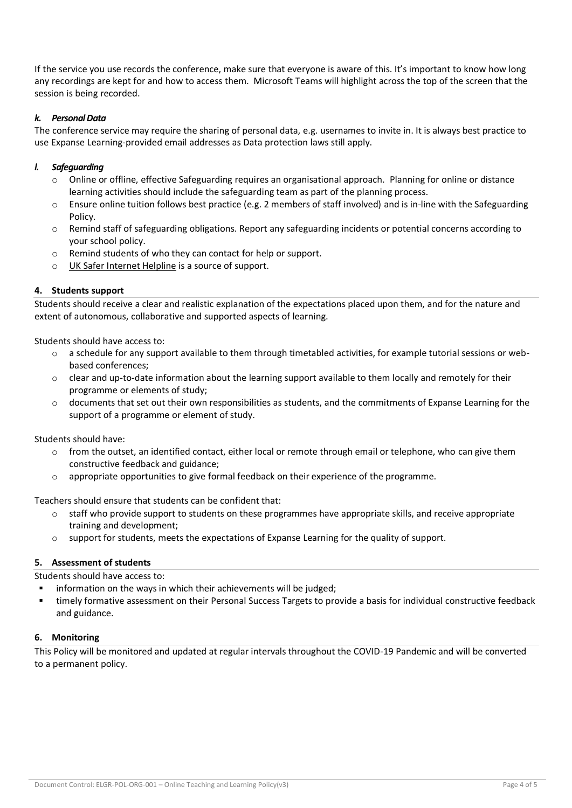If the service you use records the conference, make sure that everyone is aware of this. It's important to know how long any recordings are kept for and how to access them. Microsoft Teams will highlight across the top of the screen that the session is being recorded.

# *k. Personal Data*

The conference service may require the sharing of personal data, e.g. usernames to invite in. It is always best practice to use Expanse Learning-provided email addresses as Data protection laws still apply.

### *l. Safeguarding*

- o Online or offline, effective Safeguarding requires an organisational approach. Planning for online or distance learning activities should include the safeguarding team as part of the planning process.
- o Ensure online tuition follows best practice (e.g. 2 members of staff involved) and is in-line with the Safeguarding Policy.
- o Remind staff of safeguarding obligations. Report any safeguarding incidents or potential concerns according to your school policy.
- o Remind students of who they can contact for help or support.
- o [UK Safer Internet Helpline](https://swgfl.org.uk/services/professionals-online-safety-helpline/) is a source of support.

# **4. Students support**

Students should receive a clear and realistic explanation of the expectations placed upon them, and for the nature and extent of autonomous, collaborative and supported aspects of learning.

Students should have access to:

- $\circ$  a schedule for any support available to them through timetabled activities, for example tutorial sessions or webbased conferences;
- $\circ$  clear and up-to-date information about the learning support available to them locally and remotely for their programme or elements of study;
- $\circ$  documents that set out their own responsibilities as students, and the commitments of Expanse Learning for the support of a programme or element of study.

Students should have:

- $\circ$  from the outset, an identified contact, either local or remote through email or telephone, who can give them constructive feedback and guidance;
- o appropriate opportunities to give formal feedback on their experience of the programme.

Teachers should ensure that students can be confident that:

- $\circ$  staff who provide support to students on these programmes have appropriate skills, and receive appropriate training and development;
- $\circ$  support for students, meets the expectations of Expanse Learning for the quality of support.

#### **5. Assessment of students**

Students should have access to:

- information on the ways in which their achievements will be judged;
- timely formative assessment on their Personal Success Targets to provide a basis for individual constructive feedback and guidance.

#### **6. Monitoring**

This Policy will be monitored and updated at regular intervals throughout the COVID-19 Pandemic and will be converted to a permanent policy.